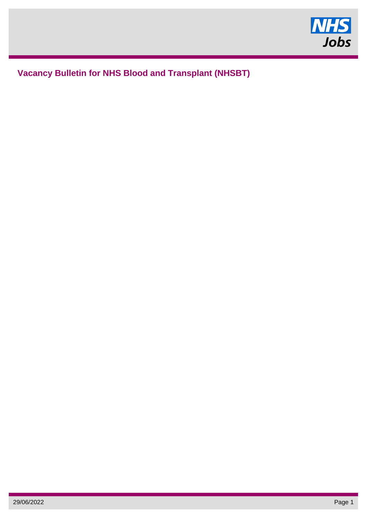

# **Vacancy Bulletin for NHS Blood and Transplant (NHSBT)**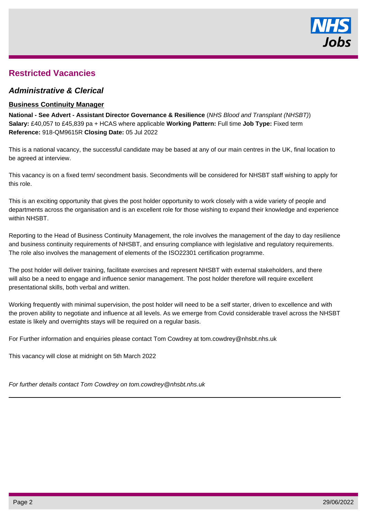

## **Restricted Vacancies**

## **Administrative & Clerical**

### **Business Continuity Manager**

**National - See Advert - Assistant Director Governance & Resilience** (NHS Blood and Transplant (NHSBT)) **Salary:** £40,057 to £45,839 pa + HCAS where applicable **Working Pattern:** Full time **Job Type:** Fixed term **Reference:** 918-QM9615R **Closing Date:** 05 Jul 2022

This is a national vacancy, the successful candidate may be based at any of our main centres in the UK, final location to be agreed at interview.

This vacancy is on a fixed term/ secondment basis. Secondments will be considered for NHSBT staff wishing to apply for this role.

This is an exciting opportunity that gives the post holder opportunity to work closely with a wide variety of people and departments across the organisation and is an excellent role for those wishing to expand their knowledge and experience within NHSBT.

Reporting to the Head of Business Continuity Management, the role involves the management of the day to day resilience and business continuity requirements of NHSBT, and ensuring compliance with legislative and regulatory requirements. The role also involves the management of elements of the ISO22301 certification programme.

The post holder will deliver training, facilitate exercises and represent NHSBT with external stakeholders, and there will also be a need to engage and influence senior management. The post holder therefore will require excellent presentational skills, both verbal and written.

Working frequently with minimal supervision, the post holder will need to be a self starter, driven to excellence and with the proven ability to negotiate and influence at all levels. As we emerge from Covid considerable travel across the NHSBT estate is likely and overnights stays will be required on a regular basis.

For Further information and enquiries please contact Tom Cowdrey at tom.cowdrey@nhsbt.nhs.uk

This vacancy will close at midnight on 5th March 2022

For further details contact Tom Cowdrey on tom.cowdrey@nhsbt.nhs.uk